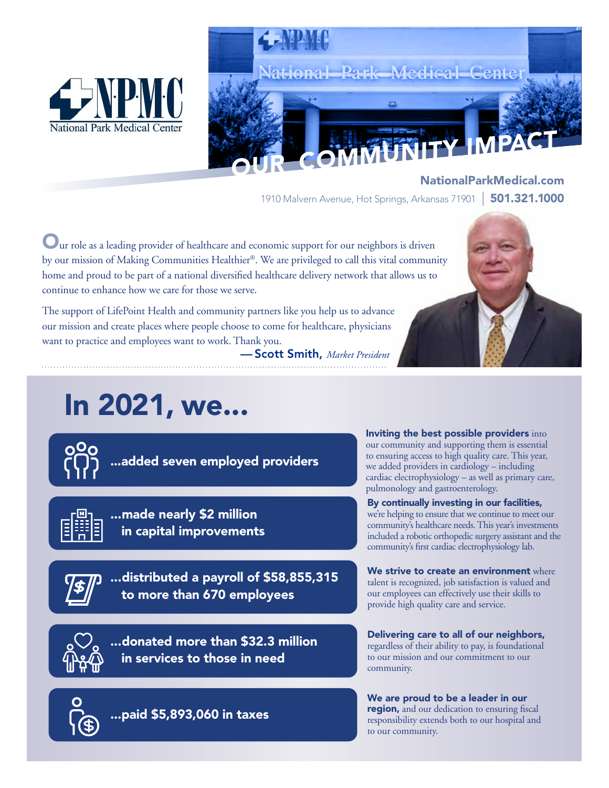



NationalParkMedical.com 1910 Malvern Avenue, Hot Springs, Arkansas 71901 | 501.321.1000

Our role as a leading provider of healthcare and economic support for our neighbors is driven by our mission of Making Communities Healthier®. We are privileged to call this vital community home and proud to be part of a national diversified healthcare delivery network that allows us to continue to enhance how we care for those we serve.

The support of LifePoint Health and community partners like you help us to advance our mission and create places where people choose to come for healthcare, physicians want to practice and employees want to work. Thank you.

— Scott Smith, *Market President*

# In 2021, we...



...added seven employed providers



...made nearly \$2 million in capital improvements



...distributed a payroll of \$58,855,315 to more than 670 employees

...donated more than \$32.3 million in services to those in need

our community and supporting them is essential to ensuring access to high quality care. This year, we added providers in cardiology – including cardiac electrophysiology – as well as primary care, pulmonology and gastroenterology. By continually investing in our facilities,

Inviting the best possible providers into

we're helping to ensure that we continue to meet our community's healthcare needs. This year's investments included a robotic orthopedic surgery assistant and the community's first cardiac electrophysiology lab.

We strive to create an environment where talent is recognized, job satisfaction is valued and our employees can effectively use their skills to provide high quality care and service.

Delivering care to all of our neighbors, regardless of their ability to pay, is foundational to our mission and our commitment to our community.

...paid \$5,893,060 in taxes

We are proud to be a leader in our region, and our dedication to ensuring fiscal responsibility extends both to our hospital and to our community.